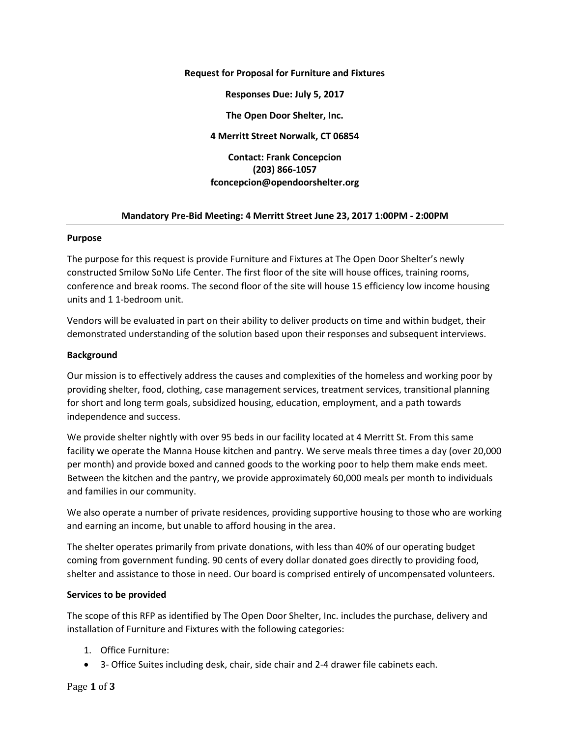### **Request for Proposal for Furniture and Fixtures**

**Responses Due: July 5, 2017**

**The Open Door Shelter, Inc.**

**4 Merritt Street Norwalk, CT 06854**

# **Contact: Frank Concepcion (203) 866-1057 fconcepcion@opendoorshelter.org**

## **Mandatory Pre-Bid Meeting: 4 Merritt Street June 23, 2017 1:00PM - 2:00PM**

### **Purpose**

The purpose for this request is provide Furniture and Fixtures at The Open Door Shelter's newly constructed Smilow SoNo Life Center. The first floor of the site will house offices, training rooms, conference and break rooms. The second floor of the site will house 15 efficiency low income housing units and 1 1-bedroom unit.

Vendors will be evaluated in part on their ability to deliver products on time and within budget, their demonstrated understanding of the solution based upon their responses and subsequent interviews.

## **Background**

Our mission is to effectively address the causes and complexities of the homeless and working poor by providing shelter, food, clothing, case management services, treatment services, transitional planning for short and long term goals, subsidized housing, education, employment, and a path towards independence and success.

We provide shelter nightly with over 95 beds in our facility located at 4 Merritt St. From this same facility we operate the Manna House kitchen and pantry. We serve meals three times a day (over 20,000 per month) and provide boxed and canned goods to the working poor to help them make ends meet. Between the kitchen and the pantry, we provide approximately 60,000 meals per month to individuals and families in our community.

We also operate a number of private residences, providing supportive housing to those who are working and earning an income, but unable to afford housing in the area.

The shelter operates primarily from private donations, with less than 40% of our operating budget coming from government funding. 90 cents of every dollar donated goes directly to providing food, shelter and assistance to those in need. Our board is comprised entirely of uncompensated volunteers.

# **Services to be provided**

The scope of this RFP as identified by The Open Door Shelter, Inc. includes the purchase, delivery and installation of Furniture and Fixtures with the following categories:

- 1. Office Furniture:
- 3- Office Suites including desk, chair, side chair and 2-4 drawer file cabinets each.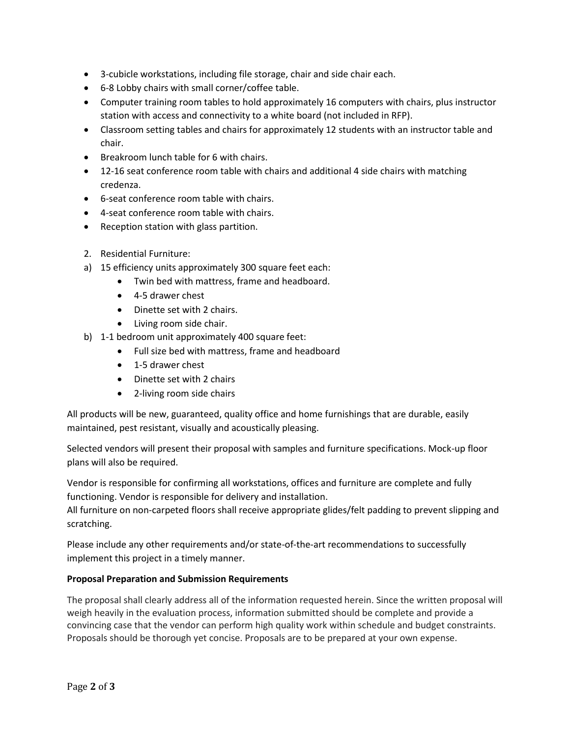- 3-cubicle workstations, including file storage, chair and side chair each.
- 6-8 Lobby chairs with small corner/coffee table.
- Computer training room tables to hold approximately 16 computers with chairs, plus instructor station with access and connectivity to a white board (not included in RFP).
- Classroom setting tables and chairs for approximately 12 students with an instructor table and chair.
- Breakroom lunch table for 6 with chairs.
- 12-16 seat conference room table with chairs and additional 4 side chairs with matching credenza.
- 6-seat conference room table with chairs.
- 4-seat conference room table with chairs.
- Reception station with glass partition.
- 2. Residential Furniture:
- a) 15 efficiency units approximately 300 square feet each:
	- Twin bed with mattress, frame and headboard.
	- 4-5 drawer chest
	- Dinette set with 2 chairs.
	- Living room side chair.
- b) 1-1 bedroom unit approximately 400 square feet:
	- Full size bed with mattress, frame and headboard
	- 1-5 drawer chest
	- Dinette set with 2 chairs
	- 2-living room side chairs

All products will be new, guaranteed, quality office and home furnishings that are durable, easily maintained, pest resistant, visually and acoustically pleasing.

Selected vendors will present their proposal with samples and furniture specifications. Mock-up floor plans will also be required.

Vendor is responsible for confirming all workstations, offices and furniture are complete and fully functioning. Vendor is responsible for delivery and installation.

All furniture on non-carpeted floors shall receive appropriate glides/felt padding to prevent slipping and scratching.

Please include any other requirements and/or state-of-the-art recommendations to successfully implement this project in a timely manner.

# **Proposal Preparation and Submission Requirements**

The proposal shall clearly address all of the information requested herein. Since the written proposal will weigh heavily in the evaluation process, information submitted should be complete and provide a convincing case that the vendor can perform high quality work within schedule and budget constraints. Proposals should be thorough yet concise. Proposals are to be prepared at your own expense.